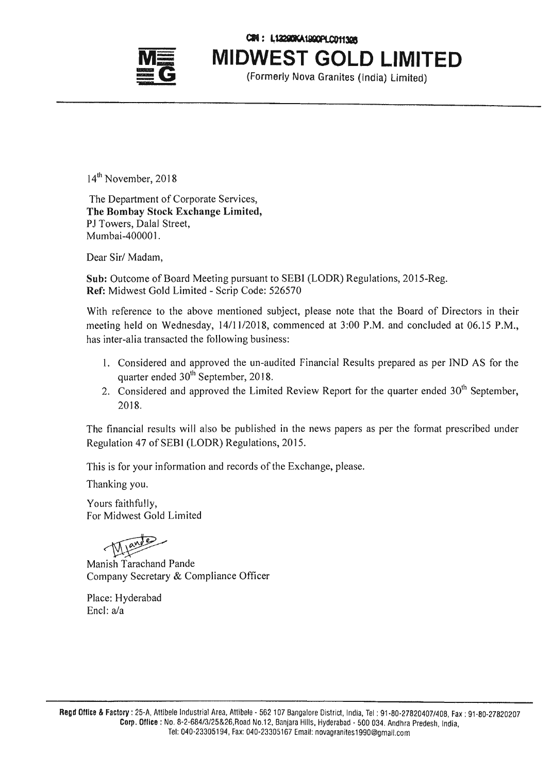

CIN: L12290KA1900PLC01130R

**MIDWEST GOLD LIMITED**

(Formerly *Nova* Granites (India) limited)

 $14^{\text{th}}$  November, 2018

The Department of Corporate Services, The Bombay Stock Exchange Limited, PJ Towers, Dalal Street, Mumbai-40000 I.

Dear Sir/ Madam,

Sub: Outcome of Board Meeting pursuant to SEBI (LODR) Regulations, 2015-Reg. Ref: Midwest Gold Limited - Scrip Code: 526570

With reference to the above mentioned subject, please note that the Board of Directors in their meeting held on Wednesday, *14111/2018,* commenced at 3:00 P.M. and concluded at 06.15 P.M., has inter-alia transacted the following business:

- I. Considered and approved the un-audited Financial Results prepared as per IND AS for the quarter ended  $30<sup>th</sup>$  September, 2018.
- 2. Considered and approved the Limited Review Report for the quarter ended  $30<sup>th</sup>$  September, 2018.

The financial results will also be published in the news papers as per the format prescribed under Regulation 47 of SEBI (LODR) Regulations, 2015.

This is for your information and records of the Exchange, please.

Thanking you.

Yours faithfully, For Midwest Gold Limited

Mande

Manish Tarachand Pande Company Secretary & Compliance Officer

Place: Hyderabad Encl: a/a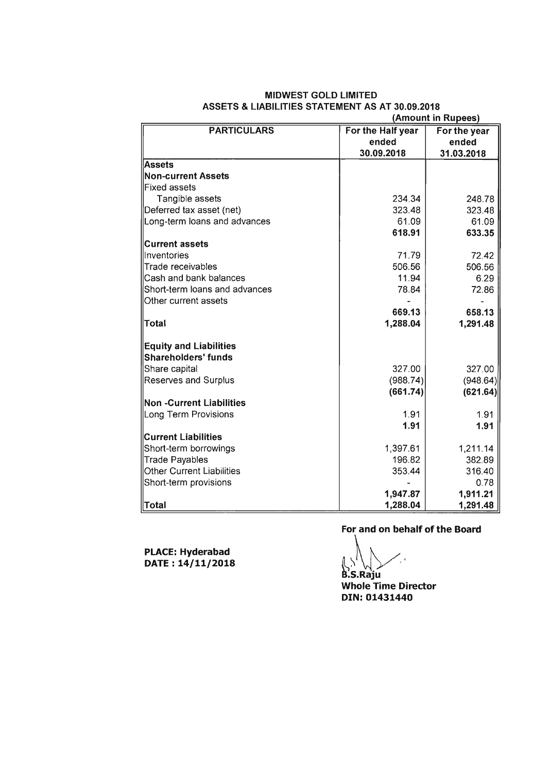|                                  |                   | (Amount in Rupees) |  |  |  |  |
|----------------------------------|-------------------|--------------------|--|--|--|--|
| <b>PARTICULARS</b>               | For the Half year | For the year       |  |  |  |  |
|                                  | ended             | ended              |  |  |  |  |
|                                  | 30.09.2018        | 31.03.2018         |  |  |  |  |
| <b>Assets</b>                    |                   |                    |  |  |  |  |
| <b>Non-current Assets</b>        |                   |                    |  |  |  |  |
| Fixed assets                     |                   |                    |  |  |  |  |
| Tangible assets                  | 234.34            | 248.78             |  |  |  |  |
| Deferred tax asset (net)         | 323.48            | 323.48             |  |  |  |  |
| Long-term loans and advances     | 61.09             | 61.09              |  |  |  |  |
|                                  | 618.91            | 633.35             |  |  |  |  |
| <b>Current assets</b>            |                   |                    |  |  |  |  |
| llnventories                     | 71.79             | 72.42              |  |  |  |  |
| Trade receivables                | 506.56            | 506.56             |  |  |  |  |
| Cash and bank balances           | 11.94             | 6.29               |  |  |  |  |
| Short-term loans and advances    | 78.84             | 72.86              |  |  |  |  |
| Other current assets             |                   |                    |  |  |  |  |
|                                  | 669.13            | 658.13             |  |  |  |  |
| Total                            | 1,288.04          | 1,291.48           |  |  |  |  |
| <b>Equity and Liabilities</b>    |                   |                    |  |  |  |  |
| Shareholders' funds              |                   |                    |  |  |  |  |
| Share capital                    | 327.00            | 327.00             |  |  |  |  |
| <b>Reserves and Surplus</b>      | (988.74)          | (948.64)           |  |  |  |  |
|                                  | (661.74)          | (621.64)           |  |  |  |  |
| <b>Non -Current Liabilities</b>  |                   |                    |  |  |  |  |
| Long Term Provisions             | 1.91              | 1.91               |  |  |  |  |
|                                  | 1.91              | 1.91               |  |  |  |  |
| <b>Current Liabilities</b>       |                   |                    |  |  |  |  |
| Short-term borrowings            | 1,397.61          | 1,211.14           |  |  |  |  |
| <b>Trade Payables</b>            | 196.82            | 382.89             |  |  |  |  |
| <b>Other Current Liabilities</b> | 353.44            | 316.40             |  |  |  |  |
| Short-term provisions            |                   | 0.78               |  |  |  |  |
|                                  | 1,947.87          | 1,911.21           |  |  |  |  |
| Total                            | 1,288.04          | 1,291.48           |  |  |  |  |

# **MIDWEST GOLD LIMITED ASSETS & LIABILITIES STATEMENT AS AT 30.09.2018**

**PLACE: Hyderabad DATE: 14/11/2018** **For and on behalf of the Board**

*R\_\~'* B.S.Raju

**Whole Time Director** DIN: 01431440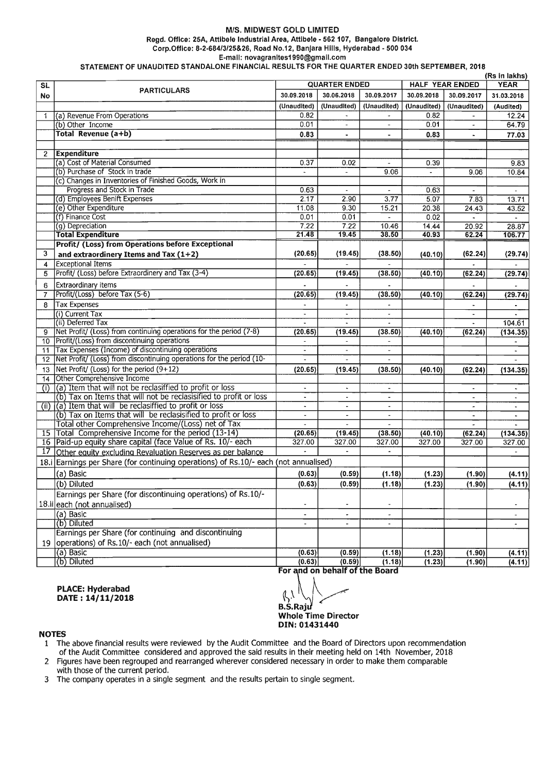## *MIS.* MIDWEST GOLD LIMITED Regd. Office: 25A, Attlbele Industrial Area, Attlbele - 562107, Bangalore District. Corp. Office: *8-2-684/3/25&26,* Road No.12, Banjara Hills, Hyderabad - 500 034 E-mail: [novagranltes1990@gmail.com](mailto:novagranltes1990@gmail.com)

STATEMENT OF UNAUDITED STANDALONE FINANCIAL RESULTS FOR THE QUARTER ENDED 30th SEPTEMBER, 2018

|                 | (Rs in lakhs)                                                                        |                       |                          |                          |                        |                          |                                       |  |  |
|-----------------|--------------------------------------------------------------------------------------|-----------------------|--------------------------|--------------------------|------------------------|--------------------------|---------------------------------------|--|--|
| <b>SL</b>       |                                                                                      | <b>QUARTER ENDED</b>  |                          |                          | <b>HALF YEAR ENDED</b> |                          | <b>YEAR</b>                           |  |  |
| No              | <b>PARTICULARS</b>                                                                   | 30.09.2018            | 30.06.2018               | 30.09.2017               | 30.09.2018             | 30.09.2017               | 31.03.2018                            |  |  |
|                 |                                                                                      | (Unaudited)           | (Unaudited)              | (Unaudited)              | (Unaudited)            | (Unaudited)              | (Audited)                             |  |  |
| -1              | (a) Revenue From Operations                                                          | 0.82                  |                          |                          | 0.82                   | $\sim$                   | 12.24                                 |  |  |
|                 | $(b)$ Other Income                                                                   | 0.01                  | $\overline{\phantom{a}}$ | $\overline{\phantom{a}}$ | 0.01                   | ÷                        | 64.79                                 |  |  |
|                 | Total Revenue (a+b)                                                                  | 0.83                  | ÷.                       | $\ddot{\phantom{1}}$     | 0.83                   | ۰                        | 77.03                                 |  |  |
|                 |                                                                                      |                       |                          |                          |                        |                          |                                       |  |  |
| $\overline{2}$  | <b>Expenditure</b>                                                                   |                       |                          |                          |                        |                          |                                       |  |  |
|                 | (a) Cost of Material Consumed                                                        | 0.37                  | 0.02                     | $\blacksquare$           | 0.39                   |                          | 9.83                                  |  |  |
|                 | (b) Purchase of Stock in trade                                                       |                       |                          | 9.06                     |                        | 9.06                     | 10.84                                 |  |  |
|                 | (c) Changes in Inventories of Finished Goods, Work in                                |                       |                          |                          |                        |                          |                                       |  |  |
|                 | Progress and Stock in Trade                                                          | 0.63                  | $\overline{\phantom{a}}$ |                          | 0.63                   |                          | $\blacksquare$                        |  |  |
|                 | (d) Employees Benift Expenses                                                        | 2.17                  | 2.90                     | 3.77                     | 5.07                   | 7.83                     | 13.71                                 |  |  |
|                 | (e) Other Expenditure                                                                | 11.08                 | 9.30                     | 15.21                    | 20.38                  | 24.43                    | 43.52                                 |  |  |
|                 | (f) Finance Cost                                                                     | 0.01                  | 0.01                     | $\overline{\phantom{0}}$ | 0.02                   | $\sim$                   | $\overline{\phantom{a}}$              |  |  |
|                 | (g) Depreciation                                                                     | 7.22                  | 7.22                     | 10.46                    | 14.44                  | 20.92                    | 28.87                                 |  |  |
|                 | <b>Total Expenditure</b>                                                             | 21.48                 | 19.45                    | 38.50                    | 40.93                  | 62.24                    | 106.77                                |  |  |
|                 | <b>Profit/ (Loss) from Operations before Exceptional</b>                             |                       |                          |                          |                        |                          |                                       |  |  |
| 3               | and extraordinery Items and Tax $(1+2)$                                              | (20.65)               | (19.45)                  | (38.50)                  | (40.10)                | (62.24)                  | (29.74)                               |  |  |
| 4               | <b>Exceptional Items</b>                                                             |                       |                          |                          |                        |                          |                                       |  |  |
| 5               | Profit/ (Loss) before Extraordinery and Tax (3-4)                                    | (20.65)               | (19.45)                  | (38.50)                  | (40.10)                | (62.24)                  | (29.74)                               |  |  |
| 6               | Extraordinary items                                                                  |                       |                          |                          |                        |                          |                                       |  |  |
| $\overline{7}$  | Profit/(Loss) before Tax (5-6)                                                       | (20.65)               | (19.45)                  | (38.50)                  | (40.10)                | (62.24)                  | (29.74)                               |  |  |
| 8               | <b>Tax Expenses</b>                                                                  |                       | $\tilde{\phantom{a}}$    | $\blacksquare$           |                        |                          |                                       |  |  |
|                 | (i) Current Tax                                                                      |                       |                          |                          |                        | $\tilde{\phantom{a}}$    |                                       |  |  |
|                 | (ii) Deferred Tax                                                                    | $\blacksquare$        | $\blacksquare$           | $\blacksquare$           |                        | ÷.                       | 104.61                                |  |  |
| 9               | Net Profit/ (Loss) from continuing operations for the period (7-8)                   | (20.65)               | (19.45)                  | (38.50)                  | (40.10)                | (62.24)                  | (134.35)                              |  |  |
| 10              | Profit/(Loss) from discontinuing operations                                          |                       |                          |                          |                        |                          |                                       |  |  |
| 11              | Tax Expenses (Income) of discontinuing operations                                    | $\tilde{\phantom{a}}$ | $\blacksquare$           | $\tilde{\phantom{a}}$    |                        |                          | $\blacksquare$                        |  |  |
| 12              | Net Profit/ (Loss) from discontinuing operations for the period (10-                 |                       | $\overline{\phantom{a}}$ |                          |                        |                          |                                       |  |  |
| 13              | Net Profit/ (Loss) for the period $(9+12)$                                           | (20.65)               | (19.45)                  | (38.50)                  | (40.10)                | (62.24)                  | (134.35)                              |  |  |
| 14              | Other Comprehensive Income                                                           |                       |                          |                          |                        |                          |                                       |  |  |
| (i)             | (a) Item that will not be reclasiffied to profit or loss                             |                       |                          | $\overline{\phantom{a}}$ |                        | ٠                        | $\tilde{\phantom{a}}$                 |  |  |
|                 | (b) Tax on Items that will not be reclasisified to profit or loss                    | $\tilde{\phantom{a}}$ | $\overline{\phantom{a}}$ | $\blacksquare$           |                        | $\overline{\phantom{a}}$ | $\tilde{\phantom{a}}$                 |  |  |
| (ii)            | (a) Item that will be reclasiffied to profit or loss                                 | ÷.                    | $\overline{\phantom{a}}$ | $\overline{\phantom{a}}$ |                        | ۰                        |                                       |  |  |
|                 | (b) Tax on Items that will be reclasisified to profit or loss                        | $\blacksquare$        | $\blacksquare$           | $\blacksquare$           |                        | $\overline{\phantom{a}}$ |                                       |  |  |
|                 | Total other Comprehensive Income/(Loss) net of Tax                                   |                       |                          |                          |                        |                          |                                       |  |  |
| $\overline{15}$ | Total Comprehensive Income for the period (13-14)                                    | (20.65)               | (19.45)                  | (38.50)                  | (40.10)                | (62.24)                  | (134.35)                              |  |  |
| 16              | Paid-up equity share capital (face Value of Rs. 10/- each                            | 327.00                | 327.00                   | 327.00                   | 327.00                 | 327.00                   | 327.00                                |  |  |
| 17              | Other equity excluding Revaluation Reserves as per balance                           |                       |                          |                          |                        |                          |                                       |  |  |
|                 | 18.i Earnings per Share (for continuing operations) of Rs.10/- each (not annualised) |                       |                          |                          |                        |                          |                                       |  |  |
|                 | (a) Basic                                                                            | (0.63)                | (0.59)                   | (1.18)                   | (1.23)                 | (1.90)                   | (4.11)                                |  |  |
|                 | (b) Diluted                                                                          | (0.63)                | (0.59)                   | (1.18)                   | (1.23)                 | (1.90)                   | (4.11)                                |  |  |
|                 | Earnings per Share (for discontinuing operations) of Rs.10/-                         |                       |                          |                          |                        |                          |                                       |  |  |
|                 | 18.ii each (not annualised)                                                          | $\blacksquare$        | $\blacksquare$           | $\overline{\phantom{a}}$ |                        |                          | $\blacksquare$                        |  |  |
|                 | (a) Basic                                                                            |                       | $\overline{\phantom{a}}$ | $\blacksquare$           |                        |                          |                                       |  |  |
|                 | (b) Diluted                                                                          |                       |                          |                          |                        |                          | $\overline{\phantom{a}}$<br>$\bullet$ |  |  |
|                 | Earnings per Share (for continuing and discontinuing                                 |                       |                          |                          |                        |                          |                                       |  |  |
| 19              | operations) of Rs.10/- each (not annualised)                                         |                       |                          |                          |                        |                          |                                       |  |  |
|                 | (a) Basic                                                                            | (0.63)                | (0.59)                   | (1.18)                   | (1.23)                 | (1.90)                   | (4.11)                                |  |  |
|                 | (b) Diluted                                                                          | (0.63)                | (0.59)                   | (1.18)                   | (1.23)                 | (1.90)                   | (4.11)                                |  |  |
|                 |                                                                                      |                       |                          |                          |                        |                          |                                       |  |  |

For and on behalf of the Board

PLACE: Hyderabad<br>DATE: 14/11/2018

PLACE: Hyderabad<br>DATE: 14/11/2018 B.S.Raju Whole Time Director DIN: 01431440

#### NOTES

- 1 The above financial results were reviewed by the Audit Committee and the Board of Directors upon recommendation of the Audit Committee considered and approved the said results in their meeting held on 14th November, 2018
- 2 Figures have been regrouped and rearranged wherever considered necessary in order to make them comparable with those of the current period.
- 3 The company operates in a single segment and the results pertain to single segment.